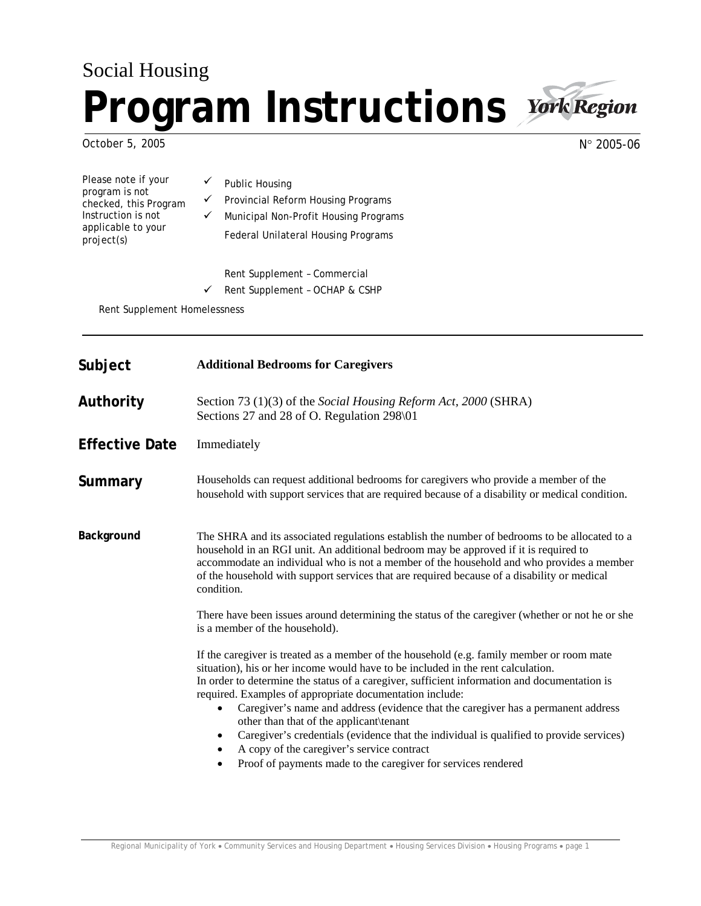# Social Housing **Program Instructions**



October 5, 2005

N° 2005-06

 $\checkmark$  Public Housing  $\checkmark$  Provincial Reform Housing Programs  $\checkmark$  Municipal Non-Profit Housing Programs Federal Unilateral Housing Programs Please note if your program is not checked, this Program Instruction is not applicable to your project(s)

Rent Supplement – Commercial

 $\checkmark$  Rent Supplement - OCHAP & CSHP

Rent Supplement Homelessness

| Subject               | <b>Additional Bedrooms for Caregivers</b>                                                                                                                                                                                                                                                                                                                                                                                                                                                                                                                                                                                                                                                                     |
|-----------------------|---------------------------------------------------------------------------------------------------------------------------------------------------------------------------------------------------------------------------------------------------------------------------------------------------------------------------------------------------------------------------------------------------------------------------------------------------------------------------------------------------------------------------------------------------------------------------------------------------------------------------------------------------------------------------------------------------------------|
| Authority             | Section 73 (1)(3) of the Social Housing Reform Act, 2000 (SHRA)<br>Sections 27 and 28 of O. Regulation 298\01                                                                                                                                                                                                                                                                                                                                                                                                                                                                                                                                                                                                 |
| <b>Effective Date</b> | Immediately                                                                                                                                                                                                                                                                                                                                                                                                                                                                                                                                                                                                                                                                                                   |
| Summary               | Households can request additional bedrooms for caregivers who provide a member of the<br>household with support services that are required because of a disability or medical condition.                                                                                                                                                                                                                                                                                                                                                                                                                                                                                                                      |
| Background            | The SHRA and its associated regulations establish the number of bedrooms to be allocated to a<br>household in an RGI unit. An additional bedroom may be approved if it is required to<br>accommodate an individual who is not a member of the household and who provides a member<br>of the household with support services that are required because of a disability or medical<br>condition.                                                                                                                                                                                                                                                                                                                |
|                       | There have been issues around determining the status of the caregiver (whether or not he or she<br>is a member of the household).                                                                                                                                                                                                                                                                                                                                                                                                                                                                                                                                                                             |
|                       | If the caregiver is treated as a member of the household (e.g. family member or room mate<br>situation), his or her income would have to be included in the rent calculation.<br>In order to determine the status of a caregiver, sufficient information and documentation is<br>required. Examples of appropriate documentation include:<br>Caregiver's name and address (evidence that the caregiver has a permanent address<br>other than that of the applicant\tenant<br>Caregiver's credentials (evidence that the individual is qualified to provide services)<br>$\bullet$<br>A copy of the caregiver's service contract<br>$\bullet$<br>Proof of payments made to the caregiver for services rendered |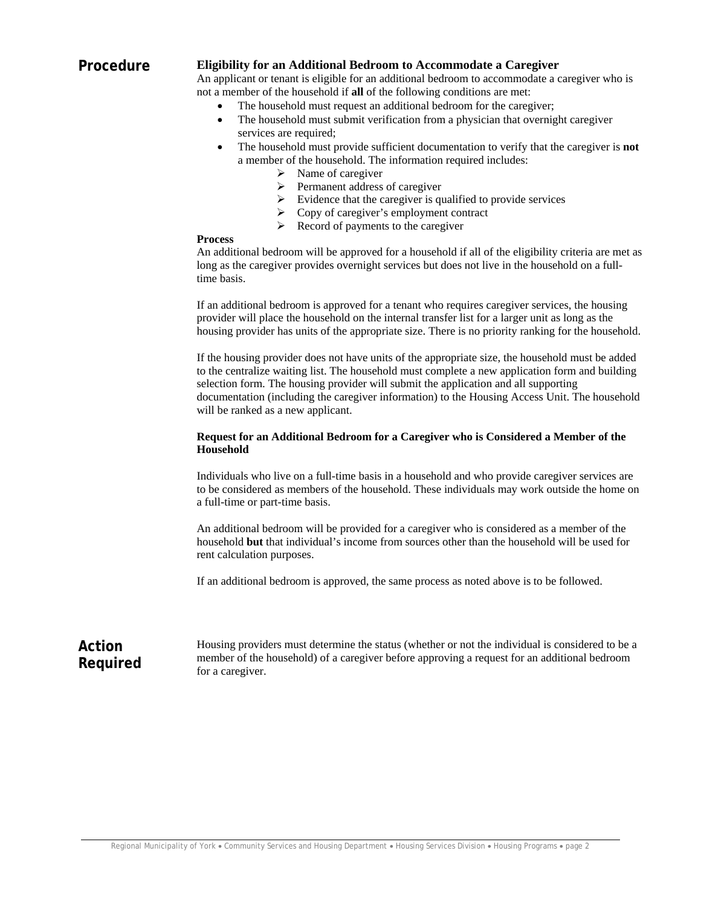#### **Procedure Eligibility for an Additional Bedroom to Accommodate a Caregiver**

An applicant or tenant is eligible for an additional bedroom to accommodate a caregiver who is not a member of the household if **all** of the following conditions are met:

- The household must request an additional bedroom for the caregiver;
- The household must submit verification from a physician that overnight caregiver services are required;
- The household must provide sufficient documentation to verify that the caregiver is **not**  a member of the household. The information required includes:
	- $\triangleright$  Name of caregiver
	- $\triangleright$  Permanent address of caregiver
	- $\triangleright$  Evidence that the caregiver is qualified to provide services
	- $\triangleright$  Copy of caregiver's employment contract
	- $\triangleright$  Record of payments to the caregiver

#### **Process**

An additional bedroom will be approved for a household if all of the eligibility criteria are met as long as the caregiver provides overnight services but does not live in the household on a fulltime basis.

If an additional bedroom is approved for a tenant who requires caregiver services, the housing provider will place the household on the internal transfer list for a larger unit as long as the housing provider has units of the appropriate size. There is no priority ranking for the household.

If the housing provider does not have units of the appropriate size, the household must be added to the centralize waiting list. The household must complete a new application form and building selection form. The housing provider will submit the application and all supporting documentation (including the caregiver information) to the Housing Access Unit. The household will be ranked as a new applicant.

### **Request for an Additional Bedroom for a Caregiver who is Considered a Member of the Household**

Individuals who live on a full-time basis in a household and who provide caregiver services are to be considered as members of the household. These individuals may work outside the home on a full-time or part-time basis.

An additional bedroom will be provided for a caregiver who is considered as a member of the household **but** that individual's income from sources other than the household will be used for rent calculation purposes.

If an additional bedroom is approved, the same process as noted above is to be followed.

## **Action Required**

Housing providers must determine the status (whether or not the individual is considered to be a member of the household) of a caregiver before approving a request for an additional bedroom for a caregiver.